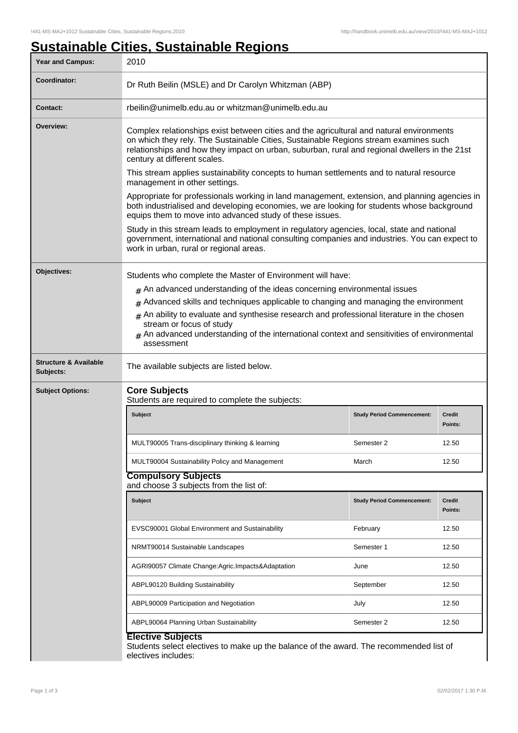## **Sustainable Cities, Sustainable Regions**

| <b>Year and Campus:</b>                       | 2010                                                                                                                                                                                                                                                                                                              |                                   |                          |  |  |
|-----------------------------------------------|-------------------------------------------------------------------------------------------------------------------------------------------------------------------------------------------------------------------------------------------------------------------------------------------------------------------|-----------------------------------|--------------------------|--|--|
| Coordinator:                                  | Dr Ruth Beilin (MSLE) and Dr Carolyn Whitzman (ABP)                                                                                                                                                                                                                                                               |                                   |                          |  |  |
| <b>Contact:</b>                               | rbeilin@unimelb.edu.au or whitzman@unimelb.edu.au                                                                                                                                                                                                                                                                 |                                   |                          |  |  |
| Overview:                                     | Complex relationships exist between cities and the agricultural and natural environments<br>on which they rely. The Sustainable Cities, Sustainable Regions stream examines such<br>relationships and how they impact on urban, suburban, rural and regional dwellers in the 21st<br>century at different scales. |                                   |                          |  |  |
|                                               | This stream applies sustainability concepts to human settlements and to natural resource<br>management in other settings.                                                                                                                                                                                         |                                   |                          |  |  |
|                                               | Appropriate for professionals working in land management, extension, and planning agencies in<br>both industrialised and developing economies, we are looking for students whose background<br>equips them to move into advanced study of these issues.                                                           |                                   |                          |  |  |
|                                               | Study in this stream leads to employment in regulatory agencies, local, state and national<br>government, international and national consulting companies and industries. You can expect to<br>work in urban, rural or regional areas.                                                                            |                                   |                          |  |  |
| Objectives:                                   | Students who complete the Master of Environment will have:<br>$*$ An advanced understanding of the ideas concerning environmental issues<br>Advanced skills and techniques applicable to changing and managing the environment<br>#                                                                               |                                   |                          |  |  |
|                                               |                                                                                                                                                                                                                                                                                                                   |                                   |                          |  |  |
|                                               |                                                                                                                                                                                                                                                                                                                   |                                   |                          |  |  |
|                                               | An ability to evaluate and synthesise research and professional literature in the chosen<br>#<br>stream or focus of study<br>An advanced understanding of the international context and sensitivities of environmental<br>assessment                                                                              |                                   |                          |  |  |
| <b>Structure &amp; Available</b><br>Subjects: | The available subjects are listed below.                                                                                                                                                                                                                                                                          |                                   |                          |  |  |
| <b>Subject Options:</b>                       | <b>Core Subjects</b><br>Students are required to complete the subjects:                                                                                                                                                                                                                                           |                                   |                          |  |  |
|                                               | <b>Subject</b>                                                                                                                                                                                                                                                                                                    | <b>Study Period Commencement:</b> | <b>Credit</b><br>Points: |  |  |
|                                               | MULT90005 Trans-disciplinary thinking & learning                                                                                                                                                                                                                                                                  | Semester 2                        | 12.50                    |  |  |
|                                               | MULT90004 Sustainability Policy and Management                                                                                                                                                                                                                                                                    | March                             | 12.50                    |  |  |
|                                               | <b>Compulsory Subjects</b><br>and choose 3 subjects from the list of:                                                                                                                                                                                                                                             |                                   |                          |  |  |
|                                               | <b>Subject</b>                                                                                                                                                                                                                                                                                                    | <b>Study Period Commencement:</b> | <b>Credit</b><br>Points: |  |  |
|                                               | EVSC90001 Global Environment and Sustainability                                                                                                                                                                                                                                                                   | February                          | 12.50                    |  |  |
|                                               | NRMT90014 Sustainable Landscapes                                                                                                                                                                                                                                                                                  | Semester 1                        | 12.50                    |  |  |
|                                               | AGRI90057 Climate Change:Agric.Impacts&Adaptation                                                                                                                                                                                                                                                                 | June                              | 12.50                    |  |  |
|                                               | ABPL90120 Building Sustainability                                                                                                                                                                                                                                                                                 | September                         | 12.50                    |  |  |
|                                               | ABPL90009 Participation and Negotiation                                                                                                                                                                                                                                                                           | July                              | 12.50                    |  |  |
|                                               | ABPL90064 Planning Urban Sustainability                                                                                                                                                                                                                                                                           | Semester 2                        | 12.50                    |  |  |
|                                               | <b>Elective Subjects</b><br>Students select electives to make up the balance of the award. The recommended list of<br>electives includes:                                                                                                                                                                         |                                   |                          |  |  |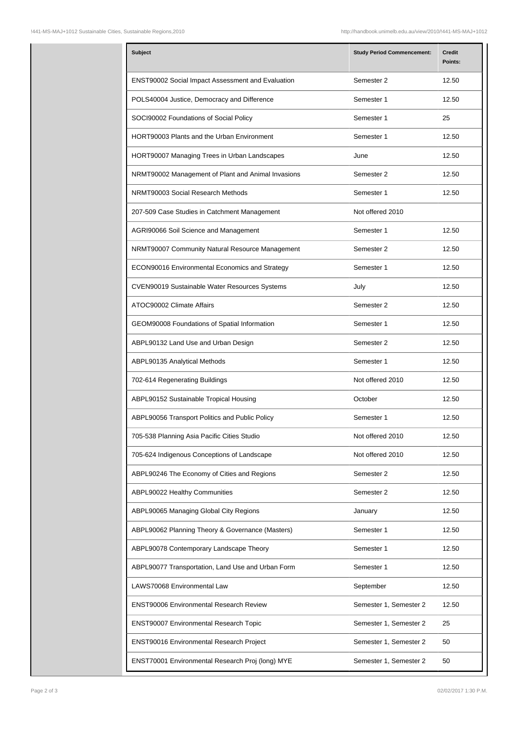| <b>Subject</b>                                     | <b>Study Period Commencement:</b> | <b>Credit</b><br>Points: |
|----------------------------------------------------|-----------------------------------|--------------------------|
| ENST90002 Social Impact Assessment and Evaluation  | Semester 2                        | 12.50                    |
| POLS40004 Justice, Democracy and Difference        | Semester 1                        | 12.50                    |
| SOCI90002 Foundations of Social Policy             | Semester 1                        | 25                       |
| HORT90003 Plants and the Urban Environment         | Semester 1                        | 12.50                    |
| HORT90007 Managing Trees in Urban Landscapes       | June                              | 12.50                    |
| NRMT90002 Management of Plant and Animal Invasions | Semester 2                        | 12.50                    |
| NRMT90003 Social Research Methods                  | Semester 1                        | 12.50                    |
| 207-509 Case Studies in Catchment Management       | Not offered 2010                  |                          |
| AGRI90066 Soil Science and Management              | Semester 1                        | 12.50                    |
| NRMT90007 Community Natural Resource Management    | Semester 2                        | 12.50                    |
| ECON90016 Environmental Economics and Strategy     | Semester 1                        | 12.50                    |
| CVEN90019 Sustainable Water Resources Systems      | July                              | 12.50                    |
| ATOC90002 Climate Affairs                          | Semester 2                        | 12.50                    |
| GEOM90008 Foundations of Spatial Information       | Semester 1                        | 12.50                    |
| ABPL90132 Land Use and Urban Design                | Semester 2                        | 12.50                    |
| ABPL90135 Analytical Methods                       | Semester 1                        | 12.50                    |
| 702-614 Regenerating Buildings                     | Not offered 2010                  | 12.50                    |
| ABPL90152 Sustainable Tropical Housing             | October                           | 12.50                    |
| ABPL90056 Transport Politics and Public Policy     | Semester 1                        | 12.50                    |
| 705-538 Planning Asia Pacific Cities Studio        | Not offered 2010                  | 12.50                    |
| 705-624 Indigenous Conceptions of Landscape        | Not offered 2010                  | 12.50                    |
| ABPL90246 The Economy of Cities and Regions        | Semester 2                        | 12.50                    |
| ABPL90022 Healthy Communities                      | Semester 2                        | 12.50                    |
| ABPL90065 Managing Global City Regions             | January                           | 12.50                    |
| ABPL90062 Planning Theory & Governance (Masters)   | Semester 1                        | 12.50                    |
| ABPL90078 Contemporary Landscape Theory            | Semester 1                        | 12.50                    |
| ABPL90077 Transportation, Land Use and Urban Form  | Semester 1                        | 12.50                    |
| LAWS70068 Environmental Law                        | September                         | 12.50                    |
| <b>ENST90006 Environmental Research Review</b>     | Semester 1, Semester 2            | 12.50                    |
| <b>ENST90007 Environmental Research Topic</b>      | Semester 1, Semester 2            | 25                       |
| ENST90016 Environmental Research Project           | Semester 1, Semester 2            | 50                       |
| ENST70001 Environmental Research Proj (long) MYE   | Semester 1, Semester 2            | 50                       |